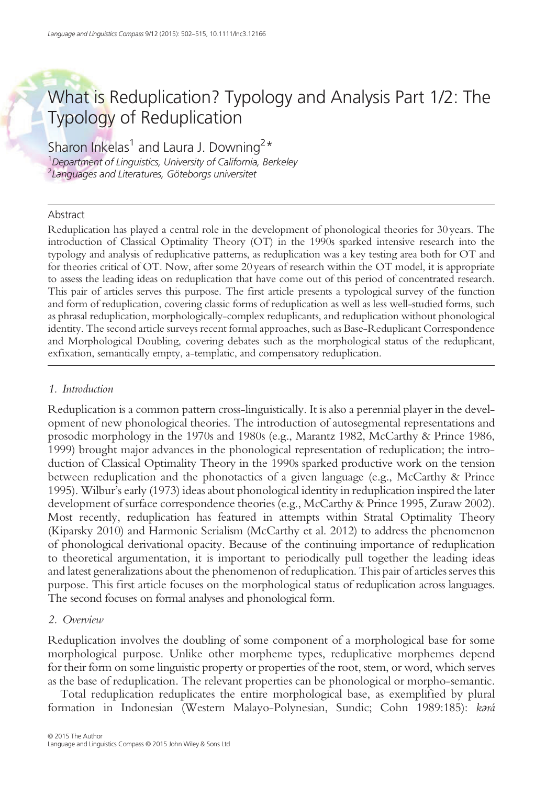# What is Reduplication? Typology and Analysis Part 1/2: The Typology of Reduplication

Sharon Inkelas<sup>1</sup> and Laura J. Downing<sup>2\*</sup> <sup>1</sup>Department of Linguistics, University of California, Berkeley <sup>2</sup> Languages and Literatures, Göteborgs universitet

## Abstract

Reduplication has played a central role in the development of phonological theories for 30 years. The introduction of Classical Optimality Theory (OT) in the 1990s sparked intensive research into the typology and analysis of reduplicative patterns, as reduplication was a key testing area both for OT and for theories critical of OT. Now, after some 20 years of research within the OT model, it is appropriate to assess the leading ideas on reduplication that have come out of this period of concentrated research. This pair of articles serves this purpose. The first article presents a typological survey of the function and form of reduplication, covering classic forms of reduplication as well as less well-studied forms, such as phrasal reduplication, morphologically-complex reduplicants, and reduplication without phonological identity. The second article surveys recent formal approaches, such as Base-Reduplicant Correspondence and Morphological Doubling, covering debates such as the morphological status of the reduplicant, exfixation, semantically empty, a-templatic, and compensatory reduplication.

# 1. Introduction

Reduplication is a common pattern cross-linguistically. It is also a perennial player in the development of new phonological theories. The introduction of autosegmental representations and prosodic morphology in the 1970s and 1980s (e.g., Marantz 1982, McCarthy & Prince 1986, 1999) brought major advances in the phonological representation of reduplication; the introduction of Classical Optimality Theory in the 1990s sparked productive work on the tension between reduplication and the phonotactics of a given language (e.g., McCarthy & Prince 1995). Wilbur's early (1973) ideas about phonological identity in reduplication inspired the later development of surface correspondence theories (e.g., McCarthy & Prince 1995, Zuraw 2002). Most recently, reduplication has featured in attempts within Stratal Optimality Theory (Kiparsky 2010) and Harmonic Serialism (McCarthy et al. 2012) to address the phenomenon of phonological derivational opacity. Because of the continuing importance of reduplication to theoretical argumentation, it is important to periodically pull together the leading ideas and latest generalizations about the phenomenon of reduplication. This pair of articles serves this purpose. This first article focuses on the morphological status of reduplication across languages. The second focuses on formal analyses and phonological form.

# 2. Overview

Reduplication involves the doubling of some component of a morphological base for some morphological purpose. Unlike other morpheme types, reduplicative morphemes depend for their form on some linguistic property or properties of the root, stem, or word, which serves as the base of reduplication. The relevant properties can be phonological or morpho-semantic.

Total reduplication reduplicates the entire morphological base, as exemplified by plural formation in Indonesian (Western Malayo-Polynesian, Sundic; Cohn 1989:185): kərá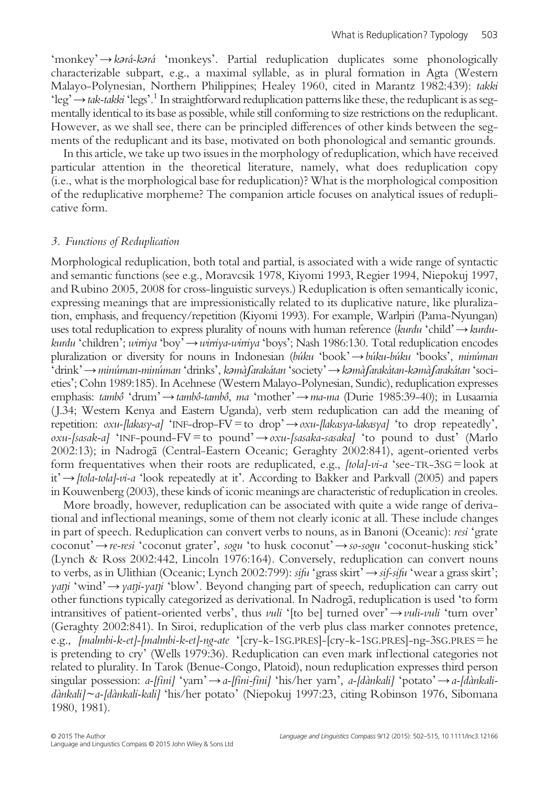'monkey'→kərá-kərá 'monkeys'. Partial reduplication duplicates some phonologically characterizable subpart, e.g., a maximal syllable, as in plural formation in Agta (Western Malayo-Polynesian, Northern Philippines; Healey 1960, cited in Marantz 1982:439): takki 'leg' → tak-takki 'legs'.<sup>1</sup> In straightforward reduplication patterns like these, the reduplicant is as segmentally identical to its base as possible, while still conforming to size restrictions on the reduplicant. However, as we shall see, there can be principled differences of other kinds between the segments of the reduplicant and its base, motivated on both phonological and semantic grounds.

In this article, we take up two issues in the morphology of reduplication, which have received particular attention in the theoretical literature, namely, what does reduplication copy (i.e., what is the morphological base for reduplication)? What is the morphological composition of the reduplicative morpheme? The companion article focuses on analytical issues of reduplicative form.

# 3. Functions of Reduplication

Morphological reduplication, both total and partial, is associated with a wide range of syntactic and semantic functions (see e.g., Moravcsik 1978, Kiyomi 1993, Regier 1994, Niepokuj 1997, and Rubino 2005, 2008 for cross-linguistic surveys.) Reduplication is often semantically iconic, expressing meanings that are impressionistically related to its duplicative nature, like pluralization, emphasis, and frequency/repetition (Kiyomi 1993). For example, Warlpiri (Pama-Nyungan) uses total reduplication to express plurality of nouns with human reference (kurdu 'child'→kurdukurdu 'children'; wirriya 'boy'→wirriya-wirriya 'boys'; Nash 1986:130. Total reduplication encodes pluralization or diversity for nouns in Indonesian (búku 'book'→búku-búku 'books', minúman 'drink'→minúman-minúman 'drinks', kəmàʃarakátan 'society'→kəmàʃarakátan-kəmàʃarakátan 'societies'; Cohn 1989:185). In Acehnese (Western Malayo-Polynesian, Sundic), reduplication expresses emphasis: tambô 'drum'→tambô-tambô, ma 'mother'→ma-ma (Durie 1985:39-40); in Lusaamia (J.34; Western Kenya and Eastern Uganda), verb stem reduplication can add the meaning of repetition:  $oxu$ -[lakasy-a] 'INF-drop-FV=to drop' $\rightarrow oxu$ -[lakasya-lakasya] 'to drop repeatedly', oxu-[sasak-a] 'INF-pound-FV=to pound'→oxu-[sasaka-sasaka] 'to pound to dust' (Marlo 2002:13); in Nadrogā (Central-Eastern Oceanic; Geraghty 2002:841), agent-oriented verbs form frequentatives when their roots are reduplicated, e.g.,  $\frac{f \cdot \text{tol}}{i}$ -vi-a 'see-TR-3SG = look at it' $\rightarrow$  [tola-tola]-vi-a 'look repeatedly at it'. According to Bakker and Parkvall (2005) and papers in Kouwenberg (2003), these kinds of iconic meanings are characteristic of reduplication in creoles.

More broadly, however, reduplication can be associated with quite a wide range of derivational and inf lectional meanings, some of them not clearly iconic at all. These include changes in part of speech. Reduplication can convert verbs to nouns, as in Banoni (Oceanic): resi 'grate coconut'→re-resi 'coconut grater', sogu 'to husk coconut'→so-sogu 'coconut-husking stick' (Lynch & Ross 2002:442, Lincoln 1976:164). Conversely, reduplication can convert nouns to verbs, as in Ulithian (Oceanic; Lynch 2002:799): sifu 'grass skirt'→ sif-sifu 'wear a grass skirt'; *yaŋi* 'wind' $\rightarrow$ *yaŋi-yaŋi* 'blow'. Beyond changing part of speech, reduplication can carry out other functions typically categorized as derivational. In Nadrogā, reduplication is used 'to form intransitives of patient-oriented verbs', thus *vuli* '[to be] turned over' $\rightarrow$ *vuli-vuli* 'turn over' (Geraghty 2002:841). In Siroi, reduplication of the verb plus class marker connotes pretence, e.g., [malmbi-k-et]-[malmbi-k-et]-ng-ate '[cry-k-1SG.PRES]-[cry-k-1SG.PRES]-ng-3SG.PRES= he is pretending to cry' (Wells 1979:36). Reduplication can even mark inflectional categories not related to plurality. In Tarok (Benue-Congo, Platoid), noun reduplication expresses third person singular possession: a-[fini] 'yarn' → a-[fini-fini] 'his/her yarn', a-[dànkali] 'potato' → a-[dànkalidànkali] ~ a-[dànkali-kali] 'his/her potato' (Niepokuj 1997:23, citing Robinson 1976, Sibomana 1980, 1981).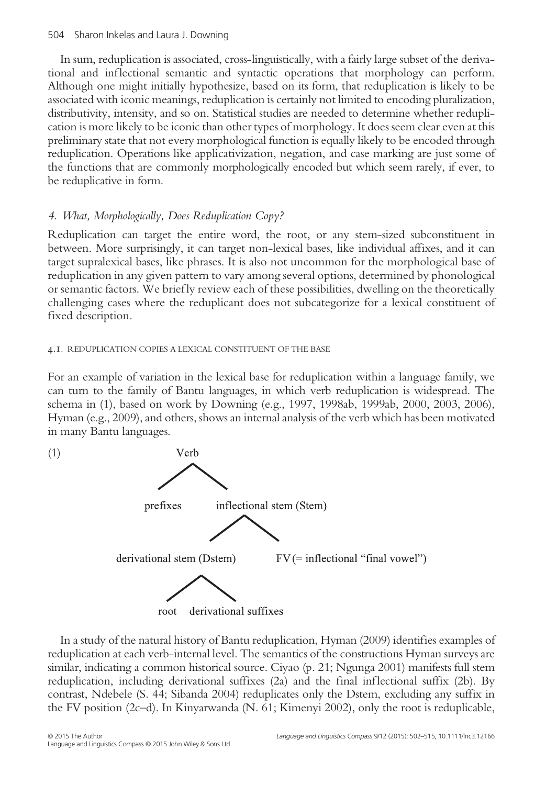# 504 Sharon Inkelas and Laura J. Downing

In sum, reduplication is associated, cross-linguistically, with a fairly large subset of the derivational and inf lectional semantic and syntactic operations that morphology can perform. Although one might initially hypothesize, based on its form, that reduplication is likely to be associated with iconic meanings, reduplication is certainly not limited to encoding pluralization, distributivity, intensity, and so on. Statistical studies are needed to determine whether reduplication is more likely to be iconic than other types of morphology. It does seem clear even at this preliminary state that not every morphological function is equally likely to be encoded through reduplication. Operations like applicativization, negation, and case marking are just some of the functions that are commonly morphologically encoded but which seem rarely, if ever, to be reduplicative in form.

# 4. What, Morphologically, Does Reduplication Copy?

Reduplication can target the entire word, the root, or any stem-sized subconstituent in between. More surprisingly, it can target non-lexical bases, like individual affixes, and it can target supralexical bases, like phrases. It is also not uncommon for the morphological base of reduplication in any given pattern to vary among several options, determined by phonological or semantic factors. We brief ly review each of these possibilities, dwelling on the theoretically challenging cases where the reduplicant does not subcategorize for a lexical constituent of fixed description.

# 4.1. REDUPLICATION COPIES A LEXICAL CONSTITUENT OF THE BASE

For an example of variation in the lexical base for reduplication within a language family, we can turn to the family of Bantu languages, in which verb reduplication is widespread. The schema in (1), based on work by Downing (e.g., 1997, 1998ab, 1999ab, 2000, 2003, 2006), Hyman (e.g., 2009), and others, shows an internal analysis of the verb which has been motivated in many Bantu languages.

(1)



In a study of the natural history of Bantu reduplication, Hyman (2009) identifies examples of reduplication at each verb-internal level. The semantics of the constructions Hyman surveys are similar, indicating a common historical source. Ciyao (p. 21; Ngunga 2001) manifests full stem reduplication, including derivational suffixes (2a) and the final inflectional suffix (2b). By contrast, Ndebele (S. 44; Sibanda 2004) reduplicates only the Dstem, excluding any suffix in the FV position (2c–d). In Kinyarwanda (N. 61; Kimenyi 2002), only the root is reduplicable,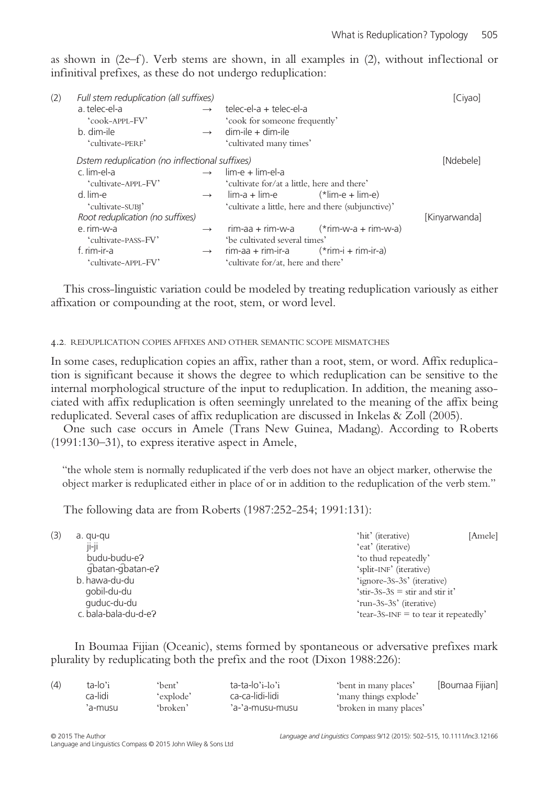as shown in  $(2e-f)$ . Verb stems are shown, in all examples in  $(2)$ , without inflectional or infinitival prefixes, as these do not undergo reduplication:

| (2) | Full stem reduplication (all suffixes)         |               |                                             |                                                    | [Ciyao]       |
|-----|------------------------------------------------|---------------|---------------------------------------------|----------------------------------------------------|---------------|
|     | a. telec-el-a                                  | $\rightarrow$ | telec-el-a + telec-el-a                     |                                                    |               |
|     | 'cook-APPL-FV'                                 |               | 'cook for someone frequently'               |                                                    |               |
|     | b. dim-ile                                     | $\rightarrow$ | $dim$ -ile + dim-ile                        |                                                    |               |
|     | 'cultivate-PERF'                               |               | 'cultivated many times'                     |                                                    |               |
|     | Dstem reduplication (no inflectional suffixes) |               |                                             |                                                    | [Ndebele]     |
|     | c. lim-el-a                                    | $\rightarrow$ | $\lim$ -e + $\lim$ -el-a                    |                                                    |               |
|     | 'cultivate-APPL-FV'                            |               | 'cultivate for/at a little, here and there' |                                                    |               |
|     | d. lim-e                                       | $\rightarrow$ | $\lim_{-a + \lim_{-e}$                      | $(*lim-e + lim-e)$                                 |               |
|     | 'cultivate-SUBI'                               |               |                                             | 'cultivate a little, here and there (subjunctive)' |               |
|     | Root reduplication (no suffixes)               |               |                                             |                                                    | [Kinyarwanda] |
|     | e. rim-w-a                                     | $\rightarrow$ | rim-aa + rim-w-a                            | $(*rim-w-a + rim-w-a)$                             |               |
|     | 'cultivate-PASS-FV'                            |               | 'be cultivated several times'               |                                                    |               |
|     | f. rim-ir-a                                    | $\rightarrow$ | rim-aa + rim-ir-a                           | $(*rim-i + rim-ir-a)$                              |               |
|     | 'cultivate-APPL-FV'                            |               | 'cultivate for/at, here and there'          |                                                    |               |

This cross-linguistic variation could be modeled by treating reduplication variously as either affixation or compounding at the root, stem, or word level.

#### 4.2. REDUPLICATION COPIES AFFIXES AND OTHER SEMANTIC SCOPE MISMATCHES

In some cases, reduplication copies an affix, rather than a root, stem, or word. Affix reduplication is significant because it shows the degree to which reduplication can be sensitive to the internal morphological structure of the input to reduplication. In addition, the meaning associated with affix reduplication is often seemingly unrelated to the meaning of the affix being reduplicated. Several cases of affix reduplication are discussed in Inkelas & Zoll (2005).

One such case occurs in Amele (Trans New Guinea, Madang). According to Roberts (1991:130–31), to express iterative aspect in Amele,

"the whole stem is normally reduplicated if the verb does not have an object marker, otherwise the object marker is reduplicated either in place of or in addition to the reduplication of the verb stem."

The following data are from Roberts (1987:252-254; 1991:131):

| (3) | a. gu-gu             | 'hit' (iterative)                              | [Amele] |
|-----|----------------------|------------------------------------------------|---------|
|     | ji-ji                | 'eat' (iterative)                              |         |
|     | budu-budu-e?         | 'to thud repeatedly'                           |         |
|     | qbatan-qbatan-e?     | 'split-INF' (iterative)                        |         |
|     | b. hawa-du-du        | 'ignore-3s-3s' (iterative)                     |         |
|     | gobil-du-du          | $\text{stir}-3s-3s = \text{stir}$ and stir it' |         |
|     | quduc-du-du          | 'run-3s-3s' (iterative)                        |         |
|     | c. bala-bala-du-d-e? | 'tear-3s-INF $=$ to tear it repeatedly'        |         |

In Boumaa Fijian (Oceanic), stems formed by spontaneous or adversative prefixes mark plurality by reduplicating both the prefix and the root (Dixon 1988:226):

| (4) | ta-lo'i | bent'     | ta-ta-lo'i-lo'i | 'bent in many places'   | [Boumaa Fijian] |
|-----|---------|-----------|-----------------|-------------------------|-----------------|
|     | ca-lidi | 'explode' | ca-ca-lidi-lidi | 'many things explode'   |                 |
|     | 'a-musu | ʻbroken'  | 'a-'a-musu-musu | 'broken in many places' |                 |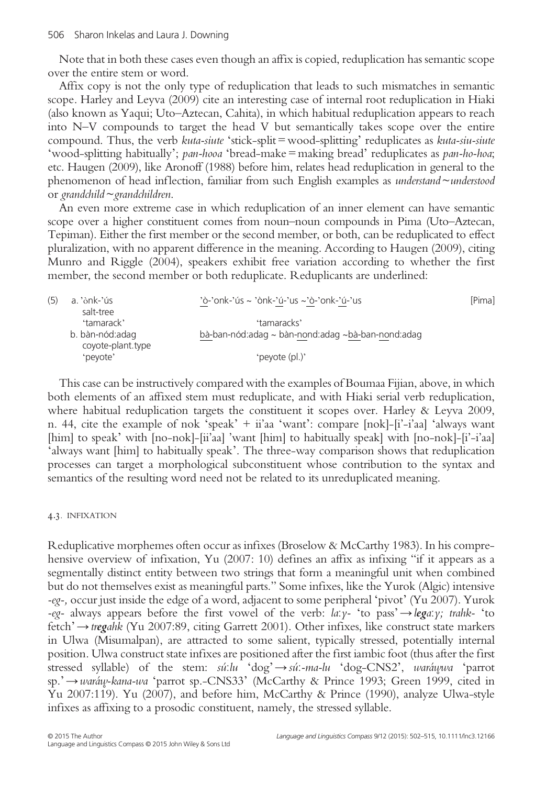Note that in both these cases even though an affix is copied, reduplication has semantic scope over the entire stem or word.

Affix copy is not the only type of reduplication that leads to such mismatches in semantic scope. Harley and Leyva (2009) cite an interesting case of internal root reduplication in Hiaki (also known as Yaqui; Uto–Aztecan, Cahita), in which habitual reduplication appears to reach into N–V compounds to target the head V but semantically takes scope over the entire compound. Thus, the verb kuta-siute 'stick-split= wood-splitting' reduplicates as kuta-siu-siute 'wood-splitting habitually'; pan-hooa 'bread-make=making bread' reduplicates as pan-ho-hoa; etc. Haugen (2009), like Aronoff (1988) before him, relates head reduplication in general to the phenomenon of head inflection, familiar from such English examples as *understand* ~ *understood*  $or$  grandchild  $\sim$ grandchildren.

An even more extreme case in which reduplication of an inner element can have semantic scope over a higher constituent comes from noun–noun compounds in Pima (Uto–Aztecan, Tepiman). Either the first member or the second member, or both, can be reduplicated to effect pluralization, with no apparent difference in the meaning. According to Haugen (2009), citing Munro and Riggle (2004), speakers exhibit free variation according to whether the first member, the second member or both reduplicate. Reduplicants are underlined:

| (5) | a. 'ònk-'ús<br>salt-tree             | 'ò-'onk-'ús ~ 'ònk-'ú-'us ~'ò-'onk-'ú-'us         | [Pima] |
|-----|--------------------------------------|---------------------------------------------------|--------|
|     | 'tamarack'                           | 'tamaracks'                                       |        |
|     | b. bàn-nód:adag<br>coyote-plant.type | bà-ban-nód:adag ~ bàn-nond:adag ~bà-ban-nond:adag |        |
|     | 'pevote'                             | 'peyote (pl.)'                                    |        |

This case can be instructively compared with the examples of Boumaa Fijian, above, in which both elements of an affixed stem must reduplicate, and with Hiaki serial verb reduplication, where habitual reduplication targets the constituent it scopes over. Harley & Leyva 2009, n. 44, cite the example of nok 'speak' + ii'aa 'want': compare [nok]-[i'-i'aa] 'always want [him] to speak' with [no-nok]-[ii'aa] 'want [him] to habitually speak] with [no-nok]-[i'-i'aa] 'always want [him] to habitually speak'. The three-way comparison shows that reduplication processes can target a morphological subconstituent whose contribution to the syntax and semantics of the resulting word need not be related to its unreduplicated meaning.

## 4.3. INFIXATION

Reduplicative morphemes often occur as infixes (Broselow & McCarthy 1983). In his comprehensive overview of infixation, Yu (2007: 10) defines an affix as infixing "if it appears as a segmentally distinct entity between two strings that form a meaningful unit when combined but do not themselves exist as meaningful parts." Some infixes, like the Yurok (Algic) intensive -eg-, occur just inside the edge of a word, adjacent to some peripheral 'pivot' (Yu 2007). Yurok -eg- always appears before the first vowel of the verb:  $la: x \rightarrow \text{lega}: y$ ; trahk- 'to fetch'→tregahk (Yu 2007:89, citing Garrett 2001). Other infixes, like construct state markers in Ulwa (Misumalpan), are attracted to some salient, typically stressed, potentially internal position. Ulwa construct state infixes are positioned after the first iambic foot (thus after the first stressed syllable) of the stem:  $sú:lu$  'dog' $\rightarrow$ sú:-ma-lu 'dog-CNS2', waráwwa 'parrot sp.'→waráw-kana-wa 'parrot sp.-CNS33' (McCarthy & Prince 1993; Green 1999, cited in Yu 2007:119). Yu (2007), and before him, McCarthy & Prince (1990), analyze Ulwa-style infixes as affixing to a prosodic constituent, namely, the stressed syllable.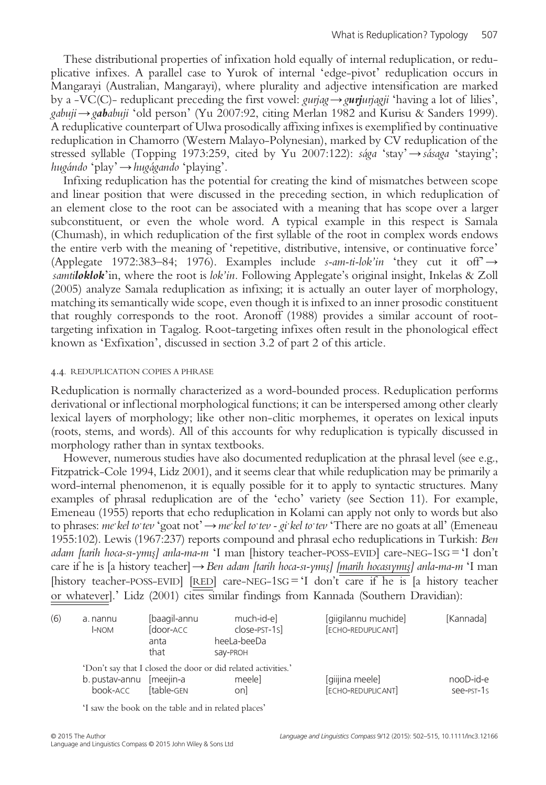These distributional properties of infixation hold equally of internal reduplication, or reduplicative infixes. A parallel case to Yurok of internal 'edge-pivot' reduplication occurs in Mangarayi (Australian, Mangarayi), where plurality and adjective intensification are marked by a -VC(C)- reduplicant preceding the first vowel: *gurjag*  $\rightarrow$  *gurjurjagji* 'having a lot of lilies', gabuji  $\rightarrow$ gababuji 'old person' (Yu 2007:92, citing Merlan 1982 and Kurisu & Sanders 1999). A reduplicative counterpart of Ulwa prosodically affixing infixes is exemplified by continuative reduplication in Chamorro (Western Malayo-Polynesian), marked by CV reduplication of the stressed syllable (Topping 1973:259, cited by Yu 2007:122): sága 'stay'  $\rightarrow$  sásaga 'staying'; hugándo 'play'→hugágando 'playing'.

Infixing reduplication has the potential for creating the kind of mismatches between scope and linear position that were discussed in the preceding section, in which reduplication of an element close to the root can be associated with a meaning that has scope over a larger subconstituent, or even the whole word. A typical example in this respect is Samala (Chumash), in which reduplication of the first syllable of the root in complex words endows the entire verb with the meaning of 'repetitive, distributive, intensive, or continuative force' (Applegate 1972:383–84; 1976). Examples include s-am-ti-lok'in 'they cut it off' $\rightarrow$ samtiloklok'in, where the root is lok'in. Following Applegate's original insight, Inkelas & Zoll (2005) analyze Samala reduplication as infixing; it is actually an outer layer of morphology, matching its semantically wide scope, even though it is infixed to an inner prosodic constituent that roughly corresponds to the root. Aronoff (1988) provides a similar account of roottargeting infixation in Tagalog. Root-targeting infixes often result in the phonological effect known as 'Exfixation', discussed in section 3.2 of part 2 of this article.

## 4.4. REDUPLICATION COPIES A PHRASE

Reduplication is normally characterized as a word-bounded process. Reduplication performs derivational or inf lectional morphological functions; it can be interspersed among other clearly lexical layers of morphology; like other non-clitic morphemes, it operates on lexical inputs (roots, stems, and words). All of this accounts for why reduplication is typically discussed in morphology rather than in syntax textbooks.

However, numerous studies have also documented reduplication at the phrasal level (see e.g., Fitzpatrick-Cole 1994, Lidz 2001), and it seems clear that while reduplication may be primarily a word-internal phenomenon, it is equally possible for it to apply to syntactic structures. Many examples of phrasal reduplication are of the 'echo' variety (see Section 11). For example, Emeneau (1955) reports that echo reduplication in Kolami can apply not only to words but also to phrases: me⋅kel to⋅tev 'goat not'→me⋅kel to⋅tev - gi⋅kel to⋅tev 'There are no goats at all' (Emeneau 1955:102). Lewis (1967:237) reports compound and phrasal echo reduplications in Turkish: Ben adam [tarih hoca-sı-ymış] anla-ma-m 'I man [history teacher-POSS-EVID] care-NEG-1SG ='I don't care if he is [a history teacher]  $\rightarrow$  Ben adam [tarih hoca-si-ymis] [marih hocasiymis] anla-ma-m 'I man [history teacher-POSS-EVID] [RED] care-NEG-1SG = 'I don't care if he is [a history teacher or whatever].' Lidz (2001) cites similar findings from Kannada (Southern Dravidian):

| (6) | a. nannu<br><b>I-NOM</b> | [baagil-annu<br><b>Idoor-ACC</b><br>anta<br>that | much-id-el<br>$close-PST-1s$<br>heeLa-beeDa<br>SAV-PROH                 | [giigilannu muchide]<br>[ECHO-REDUPLICANT] | [Kannada]  |
|-----|--------------------------|--------------------------------------------------|-------------------------------------------------------------------------|--------------------------------------------|------------|
|     | b. pustav-annu [meejin-a |                                                  | 'Don't say that I closed the door or did related activities.'<br>meelel | [giijina meele]                            | nooD-id-e  |
|     | book-ACC                 | [table-GEN]                                      | onl                                                                     | [ECHO-REDUPLICANT]                         | see-PST-1s |

'I saw the book on the table and in related places'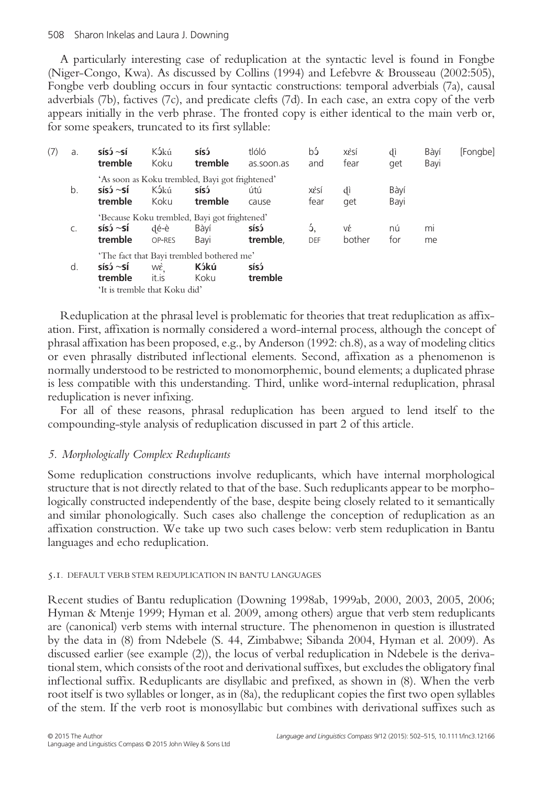A particularly interesting case of reduplication at the syntactic level is found in Fongbe (Niger-Congo, Kwa). As discussed by Collins (1994) and Lefebvre & Brousseau (2002:505), Fongbe verb doubling occurs in four syntactic constructions: temporal adverbials (7a), causal adverbials (7b), factives (7c), and predicate clefts (7d). In each case, an extra copy of the verb appears initially in the verb phrase. The fronted copy is either identical to the main verb or, for some speakers, truncated to its first syllable:

| (7) | a. | $s$ ís $\acute{o}$ ~sí<br>tremble                      | Kókú<br>Koku   | sísó<br>tremble                                                    | tlóló<br>as.soon.as | b3<br>and            | xèsí<br>fear | dì<br>get    | Bàyí<br>Bayi | [Fongbe] |
|-----|----|--------------------------------------------------------|----------------|--------------------------------------------------------------------|---------------------|----------------------|--------------|--------------|--------------|----------|
|     | b. | $s$ ís $\acute{o}$ ~sí<br>tremble                      | Kókú<br>Koku   | 'As soon as Koku trembled, Bayi got frightened'<br>sísó<br>tremble | útú<br>cause        | xèsí<br>fear         | dì<br>get    | Bàyí<br>Bayi |              |          |
|     | C. | $sis'$ ~sí<br>tremble                                  | dé-è<br>OP-RES | 'Because Koku trembled, Bayi got frightened'<br>Bàyí<br>Bavi       | sísó<br>tremble,    | $\mathcal{L}$<br>DEF | vέ<br>bother | nú<br>for    | mi<br>me     |          |
|     | d. | $sis'$ ~sí<br>tremble<br>'It is tremble that Koku did' | Wέ<br>it.is    | 'The fact that Bayi trembled bothered me'<br>Kókú<br>Koku          | sísó<br>tremble     |                      |              |              |              |          |

Reduplication at the phrasal level is problematic for theories that treat reduplication as affixation. First, affixation is normally considered a word-internal process, although the concept of phrasal affixation has been proposed, e.g., by Anderson (1992: ch.8), as a way of modeling clitics or even phrasally distributed inf lectional elements. Second, affixation as a phenomenon is normally understood to be restricted to monomorphemic, bound elements; a duplicated phrase is less compatible with this understanding. Third, unlike word-internal reduplication, phrasal reduplication is never infixing.

For all of these reasons, phrasal reduplication has been argued to lend itself to the compounding-style analysis of reduplication discussed in part 2 of this article.

# 5. Morphologically Complex Reduplicants

Some reduplication constructions involve reduplicants, which have internal morphological structure that is not directly related to that of the base. Such reduplicants appear to be morphologically constructed independently of the base, despite being closely related to it semantically and similar phonologically. Such cases also challenge the conception of reduplication as an affixation construction. We take up two such cases below: verb stem reduplication in Bantu languages and echo reduplication.

# 5.1. DEFAULT VERB STEM REDUPLICATION IN BANTU LANGUAGES

Recent studies of Bantu reduplication (Downing 1998ab, 1999ab, 2000, 2003, 2005, 2006; Hyman & Mtenje 1999; Hyman et al. 2009, among others) argue that verb stem reduplicants are (canonical) verb stems with internal structure. The phenomenon in question is illustrated by the data in (8) from Ndebele (S. 44, Zimbabwe; Sibanda 2004, Hyman et al. 2009). As discussed earlier (see example (2)), the locus of verbal reduplication in Ndebele is the derivational stem, which consists of the root and derivational suffixes, but excludes the obligatory final inf lectional suffix. Reduplicants are disyllabic and prefixed, as shown in (8). When the verb root itself is two syllables or longer, as in (8a), the reduplicant copies the first two open syllables of the stem. If the verb root is monosyllabic but combines with derivational suffixes such as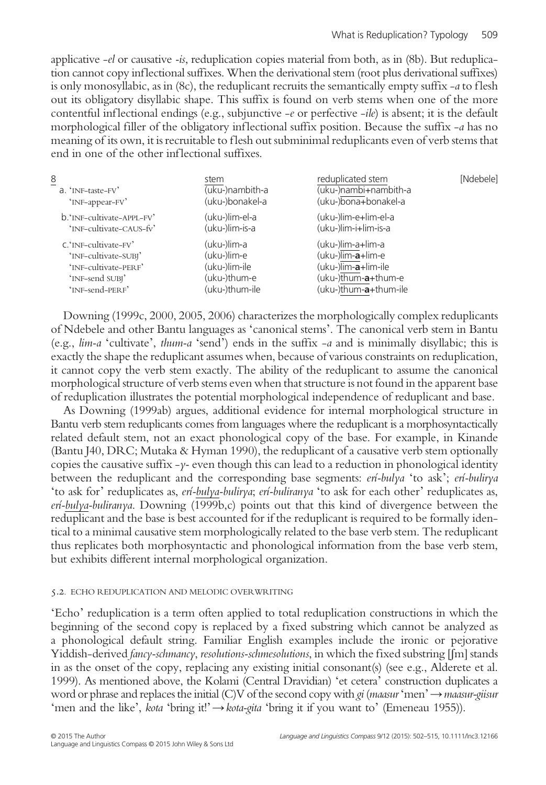applicative -el or causative -is, reduplication copies material from both, as in (8b). But reduplication cannot copy inf lectional suffixes. When the derivational stem (root plus derivational suffixes) is only monosyllabic, as in  $(8c)$ , the reduplicant recruits the semantically empty suffix  $-a$  to flesh out its obligatory disyllabic shape. This suffix is found on verb stems when one of the more contentful inflectional endings (e.g., subjunctive  $-e$  or perfective  $-i\ell$ ) is absent; it is the default morphological filler of the obligatory inflectional suffix position. Because the suffix -a has no meaning of its own, it is recruitable to f lesh out subminimal reduplicants even of verb stems that end in one of the other inf lectional suffixes.

| 8                            | stem            | reduplicated stem          | [Ndebele] |
|------------------------------|-----------------|----------------------------|-----------|
| a. 'INF-taste-FV'            | (uku-)nambith-a | (uku-)nambi+nambith-a      |           |
| 'INF-appear-FV'              | (uku-)bonakel-a | (uku-)bona+bonakel-a       |           |
| $b$ . INF-cultivate-APPL-FV' | (uku-)lim-el-a  | (uku-)lim-e+lim-el-a       |           |
| 'INF-cultivate-CAUS-fv'      | (uku-)lim-is-a  | (uku-)lim-i+lim-is-a       |           |
| C.'INF-cultivate-FV'         | (uku-)lim-a     | (uku-)lim-a+lim-a          |           |
| 'INF-cultivate-SUBI'         | (uku-)lim-e     | (uku-)lim- <b>a</b> +lim-e |           |
| 'INF-cultivate-PERF'         | (uku-)lim-ile   | (uku-)lim-a+lim-ile        |           |
| 'INF-send SUBI'              | (uku-)thum-e    | (uku-)thum-a+thum-e        |           |
| 'INF-send-PERF'              | (uku-)thum-ile  | (uku-)thum-a+thum-ile      |           |

Downing (1999c, 2000, 2005, 2006) characterizes the morphologically complex reduplicants of Ndebele and other Bantu languages as 'canonical stems'. The canonical verb stem in Bantu (e.g.,  $\lim_{a \to a}$  'cultivate', thum-a 'send') ends in the suffix -a and is minimally disyllabic; this is exactly the shape the reduplicant assumes when, because of various constraints on reduplication, it cannot copy the verb stem exactly. The ability of the reduplicant to assume the canonical morphological structure of verb stems even when that structure is not found in the apparent base of reduplication illustrates the potential morphological independence of reduplicant and base.

As Downing (1999ab) argues, additional evidence for internal morphological structure in Bantu verb stem reduplicants comes from languages where the reduplicant is a morphosyntactically related default stem, not an exact phonological copy of the base. For example, in Kinande (Bantu J40, DRC; Mutaka & Hyman 1990), the reduplicant of a causative verb stem optionally copies the causative suffix  $-\gamma$ - even though this can lead to a reduction in phonological identity between the reduplicant and the corresponding base segments: erí-bulya 'to ask'; erí-bulirya 'to ask for' reduplicates as, erí-bulya-bulirya; erí-buliranya 'to ask for each other' reduplicates as, erí-bulya-buliranya. Downing (1999b,c) points out that this kind of divergence between the reduplicant and the base is best accounted for if the reduplicant is required to be formally identical to a minimal causative stem morphologically related to the base verb stem. The reduplicant thus replicates both morphosyntactic and phonological information from the base verb stem, but exhibits different internal morphological organization.

## 5.2. ECHO REDUPLICATION AND MELODIC OVERWRITING

'Echo' reduplication is a term often applied to total reduplication constructions in which the beginning of the second copy is replaced by a fixed substring which cannot be analyzed as a phonological default string. Familiar English examples include the ironic or pejorative Yiddish-derived fancy-schmancy, resolutions-schmesolutions, in which the fixed substring [[m] stands in as the onset of the copy, replacing any existing initial consonant(s) (see e.g., Alderete et al. 1999). As mentioned above, the Kolami (Central Dravidian) 'et cetera' construction duplicates a word or phrase and replaces the initial (C)V of the second copy with gi (maasur 'men' → maasur-giisur 'men and the like', kota 'bring it!' $\rightarrow$ kota-gita 'bring it if you want to' (Emeneau 1955)).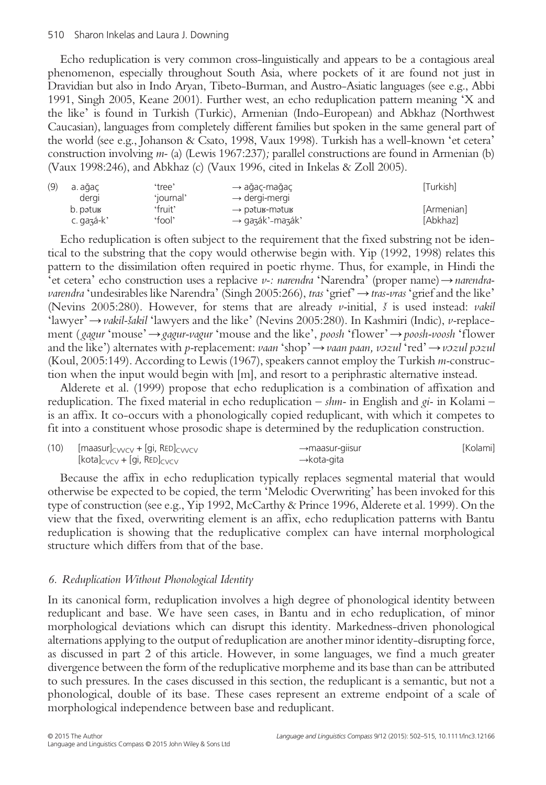## 510 Sharon Inkelas and Laura J. Downing

Echo reduplication is very common cross-linguistically and appears to be a contagious areal phenomenon, especially throughout South Asia, where pockets of it are found not just in Dravidian but also in Indo Aryan, Tibeto-Burman, and Austro-Asiatic languages (see e.g., Abbi 1991, Singh 2005, Keane 2001). Further west, an echo reduplication pattern meaning 'X and the like' is found in Turkish (Turkic), Armenian (Indo-European) and Abkhaz (Northwest Caucasian), languages from completely different families but spoken in the same general part of the world (see e.g., Johanson & Csato, 1998, Vaux 1998). Turkish has a well-known 'et cetera' construction involving m- (a) (Lewis 1967:237); parallel constructions are found in Armenian (b) (Vaux 1998:246), and Abkhaz (c) (Vaux 1996, cited in Inkelas & Zoll 2005).

| (9) | a. ağac    | 'tree'    | $\rightarrow$ ağac-mağac    | <b>Turkish</b> |
|-----|------------|-----------|-----------------------------|----------------|
|     | derai      | 'iournal' | $\rightarrow$ dergi-mergi   |                |
|     | b. patur   | 'fruit'   | $\rightarrow$ pətuk-mətuk   | [Armenian]     |
|     | c. gazá-k' | 'fool'    | $\rightarrow$ gazák'-mazák' | [Abkhaz]       |

Echo reduplication is often subject to the requirement that the fixed substring not be identical to the substring that the copy would otherwise begin with. Yip (1992, 1998) relates this pattern to the dissimilation often required in poetic rhyme. Thus, for example, in Hindi the 'et cetera' echo construction uses a replacive v-: narendra 'Narendra' (proper name)→narendravarendra 'undesirables like Narendra' (Singh 2005:266), tras 'grief'  $\rightarrow$  tras-vras 'grief and the like' (Nevins 2005:280). However, for stems that are already v-initial,  $\zeta$  is used instead: *vakil* 'lawyer'→vakil-šakil 'lawyers and the like' (Nevins 2005:280). In Kashmiri (Indic), v-replacement (gagur 'mouse' → gagur-vagur 'mouse and the like', poosh 'f lower' → poosh-voosh 'f lower and the like') alternates with p-replacement: vaan 'shop'  $\rightarrow$ vaan paan, v $\infty$ zul 'red' $\rightarrow$ v $\infty$ zul p $\infty$ ul (Koul, 2005:149). According to Lewis (1967), speakers cannot employ the Turkish m-construction when the input would begin with [m], and resort to a periphrastic alternative instead.

Alderete et al. (1999) propose that echo reduplication is a combination of affixation and reduplication. The fixed material in echo reduplication –  $shm$ - in English and  $gi$ - in Kolami – is an affix. It co-occurs with a phonologically copied reduplicant, with which it competes to fit into a constituent whose prosodic shape is determined by the reduplication construction.

| (10) | [maasur] <sub>CVVCV</sub> + [gi, RED] <sub>CVVCV</sub> | $\rightarrow$ maasur-giisur | [Kolami] |
|------|--------------------------------------------------------|-----------------------------|----------|
|      | $[kota]_{CVCV}$ + [gi, RED] $_{CVCV}$                  | →kota-gita                  |          |

Because the affix in echo reduplication typically replaces segmental material that would otherwise be expected to be copied, the term 'Melodic Overwriting' has been invoked for this type of construction (see e.g., Yip 1992, McCarthy & Prince 1996, Alderete et al. 1999). On the view that the fixed, overwriting element is an affix, echo reduplication patterns with Bantu reduplication is showing that the reduplicative complex can have internal morphological structure which differs from that of the base.

# 6. Reduplication Without Phonological Identity

In its canonical form, reduplication involves a high degree of phonological identity between reduplicant and base. We have seen cases, in Bantu and in echo reduplication, of minor morphological deviations which can disrupt this identity. Markedness-driven phonological alternations applying to the output of reduplication are another minor identity-disrupting force, as discussed in part 2 of this article. However, in some languages, we find a much greater divergence between the form of the reduplicative morpheme and its base than can be attributed to such pressures. In the cases discussed in this section, the reduplicant is a semantic, but not a phonological, double of its base. These cases represent an extreme endpoint of a scale of morphological independence between base and reduplicant.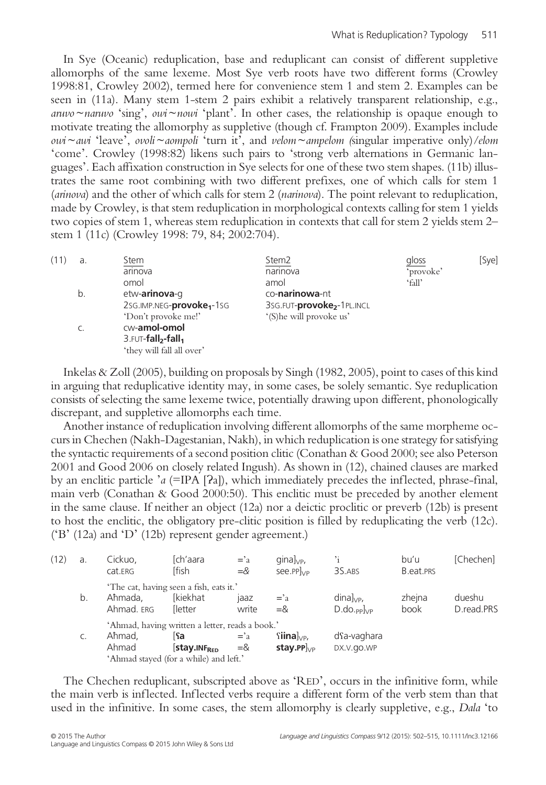In Sye (Oceanic) reduplication, base and reduplicant can consist of different suppletive allomorphs of the same lexeme. Most Sye verb roots have two different forms (Crowley 1998:81, Crowley 2002), termed here for convenience stem 1 and stem 2. Examples can be seen in (11a). Many stem 1-stem 2 pairs exhibit a relatively transparent relationship, e.g., aruvo ~ naruvo 'sing', owi ~ nowi 'plant'. In other cases, the relationship is opaque enough to motivate treating the allomorphy as suppletive (though cf. Frampton 2009). Examples include owi ~ awi 'leave', ovoli ~ aompoli 'turn it', and velom ~ ampelom (singular imperative only)/elom 'come'. Crowley (1998:82) likens such pairs to 'strong verb alternations in Germanic languages'. Each affixation construction in Sye selects for one of these two stem shapes. (11b) illustrates the same root combining with two different prefixes, one of which calls for stem 1 (arinova) and the other of which calls for stem 2 (narinova). The point relevant to reduplication, made by Crowley, is that stem reduplication in morphological contexts calling for stem 1 yields two copies of stem 1, whereas stem reduplication in contexts that call for stem 2 yields stem 2– stem 1 (11c) (Crowley 1998: 79, 84; 2002:704).

| (11) | a. | Stem                                  | Stem2                                  | gloss     | [Sye] |
|------|----|---------------------------------------|----------------------------------------|-----------|-------|
|      |    | arinova                               | narinova                               | 'provoke' |       |
|      |    | omol                                  | amol                                   | 'fall'    |       |
|      | b. | etw-arinova-q                         | co- <b>narinowa</b> -nt                |           |       |
|      |    | 2sG.IMP.NEG-provoke <sub>1</sub> -1sG | 3SG.FUT-provoke <sub>2</sub> -1PL.INCL |           |       |
|      |    | 'Don't provoke me!'                   | '(S) he will provoke us'               |           |       |
|      | C. | CW-amol-omol                          |                                        |           |       |
|      |    | $3.FUT-fall2-fall1$                   |                                        |           |       |
|      |    | 'they will fall all over'             |                                        |           |       |
|      |    |                                       |                                        |           |       |

Inkelas & Zoll (2005), building on proposals by Singh (1982, 2005), point to cases of this kind in arguing that reduplicative identity may, in some cases, be solely semantic. Sye reduplication consists of selecting the same lexeme twice, potentially drawing upon different, phonologically discrepant, and suppletive allomorphs each time.

Another instance of reduplication involving different allomorphs of the same morpheme occurs in Chechen (Nakh-Dagestanian, Nakh), in which reduplication is one strategy for satisfying the syntactic requirements of a second position clitic (Conathan & Good 2000; see also Peterson 2001 and Good 2006 on closely related Ingush). As shown in (12), chained clauses are marked by an enclitic particle 'a (=IPA  $[2a]$ ), which immediately precedes the inflected, phrase-final, main verb (Conathan & Good 2000:50). This enclitic must be preceded by another element in the same clause. If neither an object (12a) nor a deictic proclitic or preverb (12b) is present to host the enclitic, the obligatory pre-clitic position is filled by reduplicating the verb (12c). ('B' (12a) and 'D' (12b) represent gender agreement.)

| (12) | a.                                              | Cickuo,<br>cat.ERG | lch'aara<br>lfish                       | $=$ <sup>2</sup> $a$<br>$=\&$ | qinal <sub>VP</sub><br>see P <sub>VP</sub> | 'n.<br>3S.ABS       | bu'u<br>B.eat.PRS | [Chechen]  |
|------|-------------------------------------------------|--------------------|-----------------------------------------|-------------------------------|--------------------------------------------|---------------------|-------------------|------------|
|      |                                                 |                    | 'The cat, having seen a fish, eats it.' |                               |                                            |                     |                   |            |
|      | b.                                              | Ahmada,            | <b>Ikiekhat</b>                         | jaaz                          | $=$ <sup>2</sup> $a$                       | $\dim a_{\nu P}$    | zhejna            | dueshu     |
|      |                                                 | Ahmad. ERG         | <b>fletter</b>                          | write                         | $=8$                                       | D.do.p <sub>P</sub> | book              | D.read.PRS |
|      | 'Ahmad, having written a letter, reads a book.' |                    |                                         |                               |                                            |                     |                   |            |
|      | C.                                              | Ahmad,             | ٢a                                      | $=$ <sup>2</sup> $a$          | $\lim_{v \to c}$                           | dfa-vaghara         |                   |            |
|      |                                                 | Ahmad              | stay.INF <sub>RED</sub>                 | $=$ &                         | stay. $PP_{\vee P}$                        | DX.V.go.WP          |                   |            |
|      |                                                 |                    | 'Ahmad stayed (for a while) and left.'  |                               |                                            |                     |                   |            |

The Chechen reduplicant, subscripted above as 'RED', occurs in the infinitive form, while the main verb is inf lected. Inf lected verbs require a different form of the verb stem than that used in the infinitive. In some cases, the stem allomorphy is clearly suppletive, e.g., *Dala* 'to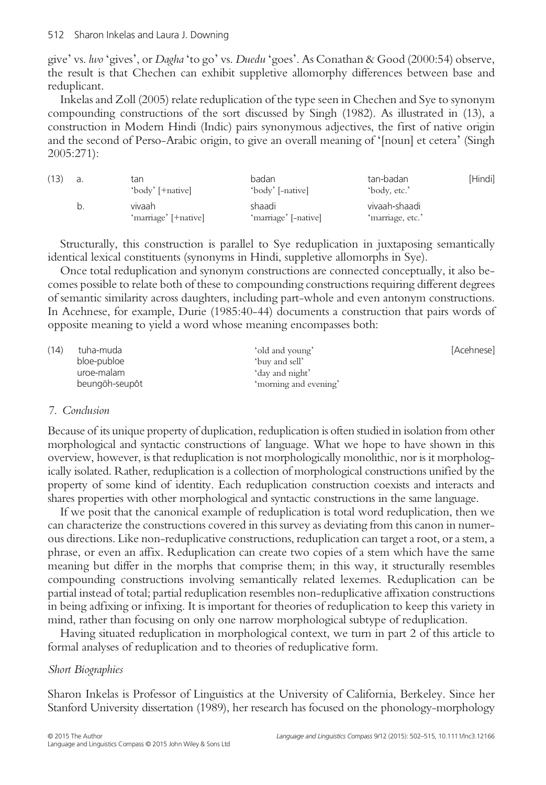give' vs. lwo'gives', or Dagha'to go' vs. Duedu 'goes'. As Conathan & Good (2000:54) observe, the result is that Chechen can exhibit suppletive allomorphy differences between base and reduplicant.

Inkelas and Zoll (2005) relate reduplication of the type seen in Chechen and Sye to synonym compounding constructions of the sort discussed by Singh (1982). As illustrated in (13), a construction in Modern Hindi (Indic) pairs synonymous adjectives, the first of native origin and the second of Perso-Arabic origin, to give an overall meaning of '[noun] et cetera' (Singh 2005:271):

| (13) | a. | tan<br>'body' [+native]        | badan<br>'body' [-native]      | tan-badan<br>'body, etc.'         | [Hindi] |
|------|----|--------------------------------|--------------------------------|-----------------------------------|---------|
|      |    | vivaah<br>'marriage' [+native] | shaadi<br>'marriage' [-native] | vivaah-shaadi<br>'marriage, etc.' |         |

Structurally, this construction is parallel to Sye reduplication in juxtaposing semantically identical lexical constituents (synonyms in Hindi, suppletive allomorphs in Sye).

Once total reduplication and synonym constructions are connected conceptually, it also becomes possible to relate both of these to compounding constructions requiring different degrees of semantic similarity across daughters, including part-whole and even antonym constructions. In Acehnese, for example, Durie (1985:40-44) documents a construction that pairs words of opposite meaning to yield a word whose meaning encompasses both:

| (14) | tuha-muda      | 'old and voung'       | [Acehnese] |
|------|----------------|-----------------------|------------|
|      | bloe-publoe    | 'buy and sell'        |            |
|      | uroe-malam     | 'day and night'       |            |
|      | beungöh-seupôt | 'morning and evening' |            |

# 7. Conclusion

Because of its unique property of duplication, reduplication is often studied in isolation from other morphological and syntactic constructions of language. What we hope to have shown in this overview, however, is that reduplication is not morphologically monolithic, nor is it morphologically isolated. Rather, reduplication is a collection of morphological constructions unified by the property of some kind of identity. Each reduplication construction coexists and interacts and shares properties with other morphological and syntactic constructions in the same language.

If we posit that the canonical example of reduplication is total word reduplication, then we can characterize the constructions covered in this survey as deviating from this canon in numerous directions. Like non-reduplicative constructions, reduplication can target a root, or a stem, a phrase, or even an affix. Reduplication can create two copies of a stem which have the same meaning but differ in the morphs that comprise them; in this way, it structurally resembles compounding constructions involving semantically related lexemes. Reduplication can be partial instead of total; partial reduplication resembles non-reduplicative affixation constructions in being adfixing or infixing. It is important for theories of reduplication to keep this variety in mind, rather than focusing on only one narrow morphological subtype of reduplication.

Having situated reduplication in morphological context, we turn in part 2 of this article to formal analyses of reduplication and to theories of reduplicative form.

# Short Biographies

Sharon Inkelas is Professor of Linguistics at the University of California, Berkeley. Since her Stanford University dissertation (1989), her research has focused on the phonology-morphology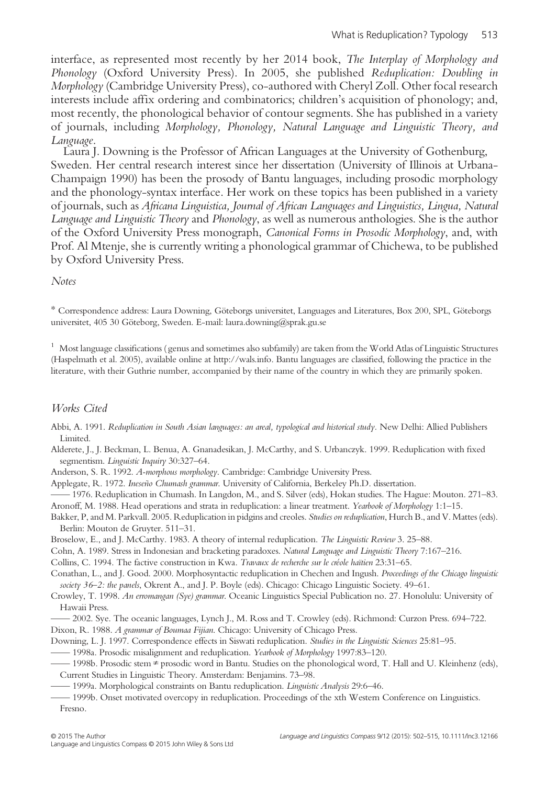interface, as represented most recently by her 2014 book, The Interplay of Morphology and Phonology (Oxford University Press). In 2005, she published Reduplication: Doubling in Morphology (Cambridge University Press), co-authored with Cheryl Zoll. Other focal research interests include affix ordering and combinatorics; children's acquisition of phonology; and, most recently, the phonological behavior of contour segments. She has published in a variety of journals, including Morphology, Phonology, Natural Language and Linguistic Theory, and

Language. Laura J. Downing is the Professor of African Languages at the University of Gothenburg, Sweden. Her central research interest since her dissertation (University of Illinois at Urbana-Champaign 1990) has been the prosody of Bantu languages, including prosodic morphology and the phonology-syntax interface. Her work on these topics has been published in a variety of journals, such as Africana Linguistica, Journal of African Languages and Linguistics, Lingua, Natural Language and Linguistic Theory and Phonology, as well as numerous anthologies. She is the author of the Oxford University Press monograph, Canonical Forms in Prosodic Morphology, and, with Prof. Al Mtenje, she is currently writing a phonological grammar of Chichewa, to be published by Oxford University Press.

# Notes

\* Correspondence address: Laura Downing, Göteborgs universitet, Languages and Literatures, Box 200, SPL, Göteborgs universitet, 405 30 Göteborg, Sweden. E-mail: laura.downing@sprak.gu.se

 $1$  Most language classifications (genus and sometimes also subfamily) are taken from the World Atlas of Linguistic Structures (Haspelmath et al. 2005), available online at<http://wals.info>. Bantu languages are classified, following the practice in the literature, with their Guthrie number, accompanied by their name of the country in which they are primarily spoken.

# Works Cited

Abbi, A. 1991. Reduplication in South Asian languages: an areal, typological and historical study. New Delhi: Allied Publishers Limited.

Alderete, J., J. Beckman, L. Benua, A. Gnanadesikan, J. McCarthy, and S. Urbanczyk. 1999. Reduplication with fixed segmentism. Linguistic Inquiry 30:327–64.

Anderson, S. R. 1992. A-morphous morphology. Cambridge: Cambridge University Press.

Applegate, R. 1972. Ineseño Chumash grammar. University of California, Berkeley Ph.D. dissertation.

—— 1976. Reduplication in Chumash. In Langdon, M., and S. Silver (eds), Hokan studies. The Hague: Mouton. 271–83. Aronoff, M. 1988. Head operations and strata in reduplication: a linear treatment. Yearbook of Morphology 1:1–15.

Bakker, P, and M. Parkvall. 2005. Reduplication in pidgins and creoles. Studies on reduplication, Hurch B., and V. Mattes (eds). Berlin: Mouton de Gruyter. 511–31.

Broselow, E., and J. McCarthy. 1983. A theory of internal reduplication. The Linguistic Review 3. 25–88.

Cohn, A. 1989. Stress in Indonesian and bracketing paradoxes. Natural Language and Linguistic Theory 7:167–216.

Collins, C. 1994. The factive construction in Kwa. Travaux de recherche sur le créole haïtien 23:31–65.

Conathan, L., and J. Good. 2000. Morphosyntactic reduplication in Chechen and Ingush. Proceedings of the Chicago linguistic society 36–2: the panels, Okrent A., and J. P. Boyle (eds). Chicago: Chicago Linguistic Society. 49–61.

Crowley, T. 1998. An erromangan (Sye) grammar. Oceanic Linguistics Special Publication no. 27. Honolulu: University of Hawaii Press.

—— 2002. Sye. The oceanic languages, Lynch J., M. Ross and T. Crowley (eds). Richmond: Curzon Press. 694–722. Dixon, R. 1988. A grammar of Boumaa Fijian. Chicago: University of Chicago Press.

Downing, L. J. 1997. Correspondence effects in Siswati reduplication. Studies in the Linguistic Sciences 25:81–95.

— 1998a. Prosodic misalignment and reduplication. Yearbook of Morphology 1997:83-120.

—— 1998b. Prosodic stem≠ prosodic word in Bantu. Studies on the phonological word, T. Hall and U. Kleinhenz (eds), Current Studies in Linguistic Theory. Amsterdam: Benjamins. 73–98.

— 1999a. Morphological constraints on Bantu reduplication. Linguistic Analysis 29:6-46.

—— 1999b. Onset motivated overcopy in reduplication. Proceedings of the xth Western Conference on Linguistics. Fresno.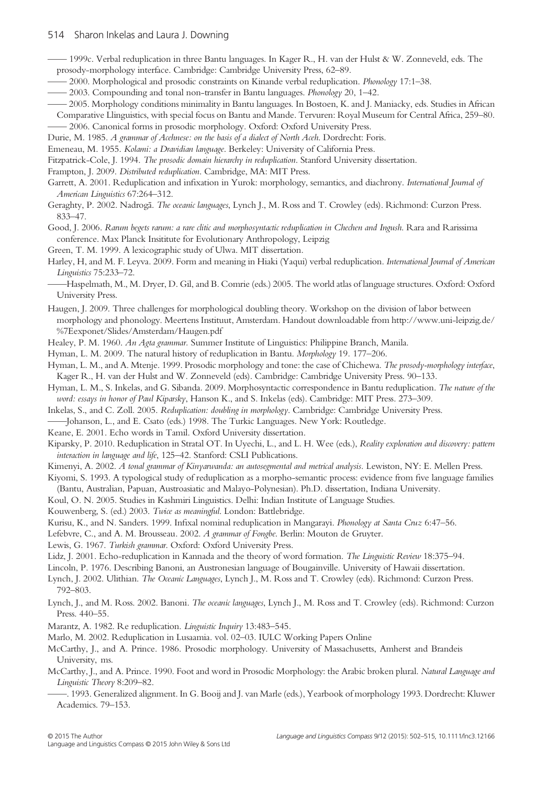#### 514 Sharon Inkelas and Laura J. Downing

—— 1999c. Verbal reduplication in three Bantu languages. In Kager R., H. van der Hulst & W. Zonneveld, eds. The prosody-morphology interface. Cambridge: Cambridge University Press, 62–89.

- —— 2000. Morphological and prosodic constraints on Kinande verbal reduplication. Phonology 17:1–38.
- —— 2003. Compounding and tonal non-transfer in Bantu languages. Phonology 20, 1–42.
- —— 2005. Morphology conditions minimality in Bantu languages. In Bostoen, K. and J. Maniacky, eds. Studies in African Comparative Llinguistics, with special focus on Bantu and Mande. Tervuren: Royal Museum for Central Africa, 259–80. - 2006. Canonical forms in prosodic morphology. Oxford: Oxford University Press.
- Durie, M. 1985. A grammar of Acehnese: on the basis of a dialect of North Aceh. Dordrecht: Foris.
- Emeneau, M. 1955. Kolami: a Dravidian language. Berkeley: University of California Press.
- Fitzpatrick-Cole, J. 1994. The prosodic domain hierarchy in reduplication. Stanford University dissertation.
- Frampton, J. 2009. Distributed reduplication. Cambridge, MA: MIT Press.
- Garrett, A. 2001. Reduplication and infixation in Yurok: morphology, semantics, and diachrony. International Journal of American Linguistics 67:264–312.
- Geraghty, P. 2002. Nadrogā. The oceanic languages, Lynch J., M. Ross and T. Crowley (eds). Richmond: Curzon Press. 833–47.
- Good, J. 2006. Rarum begets rarum: a rare clitic and morphosyntactic reduplication in Chechen and Ingush. Rara and Rarissima conference. Max Planck Insititute for Evolutionary Anthropology, Leipzig
- Green, T. M. 1999. A lexicographic study of Ulwa. MIT dissertation.

Harley, H, and M. F. Leyva. 2009. Form and meaning in Hiaki (Yaqui) verbal reduplication. International Journal of American Linguistics 75:233–72.

- ——Haspelmath, M., M. Dryer, D. Gil, and B. Comrie (eds.) 2005. The world atlas of language structures. Oxford: Oxford University Press.
- Haugen, J. 2009. Three challenges for morphological doubling theory. Workshop on the division of labor between morphology and phonology. Meertens Instituut, Amsterdam. Handout downloadable from [http://www.uni-leipzig.de/](http://www.uni-leipzig.de/%7Eexponet/Slides/Amsterdam/Haugen.pdf) [%7Eexponet/Slides/Amsterdam/Haugen.pdf](http://www.uni-leipzig.de/%7Eexponet/Slides/Amsterdam/Haugen.pdf)
- Healey, P. M. 1960. An Agta grammar. Summer Institute of Linguistics: Philippine Branch, Manila.
- Hyman, L. M. 2009. The natural history of reduplication in Bantu. Morphology 19. 177–206.
- Hyman, L. M., and A. Mtenje. 1999. Prosodic morphology and tone: the case of Chichewa. The prosody-morphology interface, Kager R., H. van der Hulst and W. Zonneveld (eds). Cambridge: Cambridge University Press. 90–133.
- Hyman, L. M., S. Inkelas, and G. Sibanda. 2009. Morphosyntactic correspondence in Bantu reduplication. The nature of the word: essays in honor of Paul Kiparsky, Hanson K., and S. Inkelas (eds). Cambridge: MIT Press. 273–309.
- Inkelas, S., and C. Zoll. 2005. Reduplication: doubling in morphology. Cambridge: Cambridge University Press.
- ——Johanson, L., and E. Csato (eds.) 1998. The Turkic Languages. New York: Routledge.
- Keane, E. 2001. Echo words in Tamil. Oxford University dissertation.
- Kiparsky, P. 2010. Reduplication in Stratal OT. In Uyechi, L., and L. H. Wee (eds.), Reality exploration and discovery: pattern interaction in language and life, 125–42. Stanford: CSLI Publications.
- Kimenyi, A. 2002. A tonal grammar of Kinyarwanda: an autosegmental and metrical analysis. Lewiston, NY: E. Mellen Press.

Kiyomi, S. 1993. A typological study of reduplication as a morpho-semantic process: evidence from five language families (Bantu, Australian, Papuan, Austroasiatic and Malayo-Polynesian). Ph.D. dissertation, Indiana University.

- Koul, O. N. 2005. Studies in Kashmiri Linguistics. Delhi: Indian Institute of Language Studies.
- Kouwenberg, S. (ed.) 2003. Twice as meaningful. London: Battlebridge.
- Kurisu, K., and N. Sanders. 1999. Infixal nominal reduplication in Mangarayi. Phonology at Santa Cruz 6:47–56.
- Lefebvre, C., and A. M. Brousseau. 2002. A grammar of Fongbe. Berlin: Mouton de Gruyter.
- Lewis, G. 1967. Turkish grammar. Oxford: Oxford University Press.
- Lidz, J. 2001. Echo-reduplication in Kannada and the theory of word formation. The Linguistic Review 18:375–94.
- Lincoln, P. 1976. Describing Banoni, an Austronesian language of Bougainville. University of Hawaii dissertation.
- Lynch, J. 2002. Ulithian. The Oceanic Languages, Lynch J., M. Ross and T. Crowley (eds). Richmond: Curzon Press. 792–803.
- Lynch, J., and M. Ross. 2002. Banoni. The oceanic languages, Lynch J., M. Ross and T. Crowley (eds). Richmond: Curzon Press. 440–55.
- Marantz, A. 1982. Re reduplication. Linguistic Inquiry 13:483–545.
- Marlo, M. 2002. Reduplication in Lusaamia. vol. 02–03. IULC Working Papers Online
- McCarthy, J., and A. Prince. 1986. Prosodic morphology. University of Massachusetts, Amherst and Brandeis University, ms.
- McCarthy, J., and A. Prince. 1990. Foot and word in Prosodic Morphology: the Arabic broken plural. Natural Language and Linguistic Theory 8:209–82.
- ——. 1993. Generalized alignment. In G. Booij and J. van Marle (eds.), Yearbook of morphology 1993. Dordrecht: Kluwer Academics. 79–153.